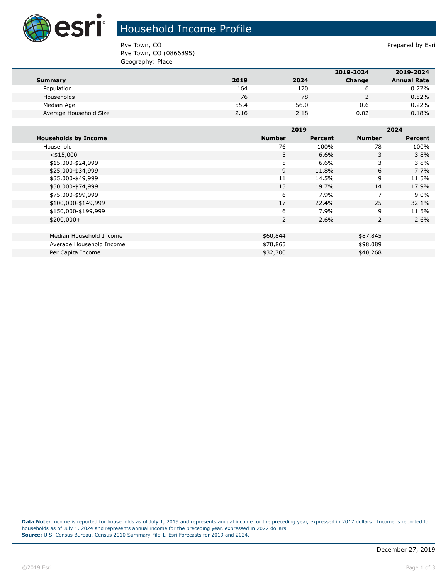

## Household Income Profile

Rye Town, CO **Prepared by Esri** Prepared by Esri Rye Town, CO (0866895) Geography: Place

|                        |      |      | 2019-2024 | 2019-2024          |
|------------------------|------|------|-----------|--------------------|
| Summary                | 2019 | 2024 | Change    | <b>Annual Rate</b> |
| Population             | 164  | 170  |           | 0.72%              |
| Households             | 76   | 78   |           | 0.52%              |
| Median Age             | 55.4 | 56.0 | 0.6       | 0.22%              |
| Average Household Size | 2.16 | 2.18 | 0.02      | 0.18%              |

|                             |               | 2019    |                | 2024           |  |
|-----------------------------|---------------|---------|----------------|----------------|--|
| <b>Households by Income</b> | <b>Number</b> | Percent | <b>Number</b>  | <b>Percent</b> |  |
| Household                   | 76            | 100%    | 78             | 100%           |  |
| $<$ \$15,000                | 5             | 6.6%    | 3              | 3.8%           |  |
| \$15,000-\$24,999           | 5             | 6.6%    | 3              | 3.8%           |  |
| \$25,000-\$34,999           | 9             | 11.8%   | 6              | 7.7%           |  |
| \$35,000-\$49,999           | 11            | 14.5%   | 9              | 11.5%          |  |
| \$50,000-\$74,999           | 15            | 19.7%   | 14             | 17.9%          |  |
| \$75,000-\$99,999           | 6             | 7.9%    | $\overline{7}$ | $9.0\%$        |  |
| \$100,000-\$149,999         | 17            | 22.4%   | 25             | 32.1%          |  |
| \$150,000-\$199,999         | 6             | 7.9%    | 9              | 11.5%          |  |
| $$200,000+$                 | 2             | 2.6%    | 2              | 2.6%           |  |
|                             |               |         |                |                |  |
| Median Household Income     | \$60,844      |         | \$87,845       |                |  |
| Average Household Income    | \$78,865      |         | \$98,089       |                |  |
| Per Capita Income           | \$32,700      |         | \$40,268       |                |  |

**Data Note:** Income is reported for households as of July 1, 2019 and represents annual income for the preceding year, expressed in 2017 dollars. Income is reported for households as of July 1, 2024 and represents annual income for the preceding year, expressed in 2022 dollars **Source:** U.S. Census Bureau, Census 2010 Summary File 1. Esri Forecasts for 2019 and 2024.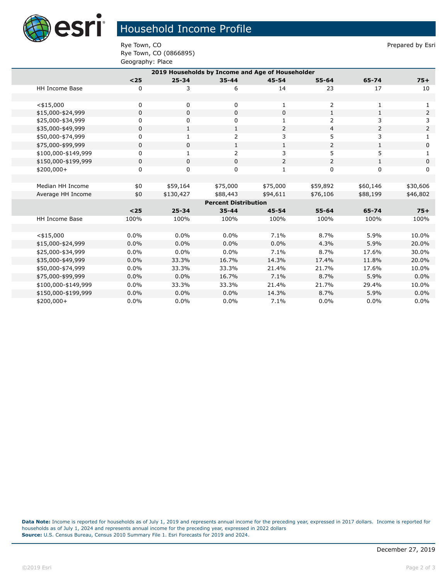

## Household Income Profile

Rye Town, CO **Prepared by Esri** Prepared by Esri Rye Town, CO (0866895) Geography: Place

| 2019 Households by Income and Age of Householder |             |              |              |                |                |                |          |  |
|--------------------------------------------------|-------------|--------------|--------------|----------------|----------------|----------------|----------|--|
|                                                  | $<$ 25      | $25 - 34$    | $35 - 44$    | $45 - 54$      | $55 - 64$      | 65-74          | $75+$    |  |
| <b>HH Income Base</b>                            | 0           | 3            | 6            | 14             | 23             | 17             | 10       |  |
|                                                  |             |              |              |                |                |                |          |  |
| $<$ \$15,000                                     | 0           | 0            | 0            | 1              | 2              | 1              | 1        |  |
| \$15,000-\$24,999                                | $\mathbf 0$ | $\mathbf 0$  | $\mathbf 0$  | $\Omega$       | $\mathbf{1}$   | $\mathbf{1}$   | 2        |  |
| \$25,000-\$34,999                                | 0           | 0            | 0            | $\mathbf{1}$   | $\overline{2}$ | 3              | 3        |  |
| \$35,000-\$49,999                                | $\mathbf 0$ | $\mathbf{1}$ | $\mathbf{1}$ | $\overline{2}$ | 4              | $\overline{2}$ | 2        |  |
| \$50,000-\$74,999                                | 0           | 1            | 2            | 3              | 5              | 3              | 1        |  |
| \$75,000-\$99,999                                | $\mathbf 0$ | 0            | $\mathbf{1}$ | $\mathbf{1}$   | 2              | $\mathbf{1}$   | 0        |  |
| \$100,000-\$149,999                              | 0           | 1            | 2            | 3              | 5              | 5              | 1        |  |
| \$150,000-\$199,999                              | 0           | 0            | 0            | 2              | 2              | $\mathbf{1}$   | 0        |  |
| \$200,000+                                       | $\mathbf 0$ | 0            | $\mathbf 0$  | 1              | 0              | 0              | $\Omega$ |  |
|                                                  |             |              |              |                |                |                |          |  |
| Median HH Income                                 | \$0         | \$59,164     | \$75,000     | \$75,000       | \$59,892       | \$60,146       | \$30,606 |  |
| Average HH Income                                | \$0         | \$130,427    | \$88,443     | \$94,611       | \$76,106       | \$88,199       | \$46,802 |  |
| <b>Percent Distribution</b>                      |             |              |              |                |                |                |          |  |
|                                                  | $25$        | $25 - 34$    | $35 - 44$    | 45-54          | $55 - 64$      | 65-74          | $75+$    |  |
| <b>HH Income Base</b>                            | 100%        | 100%         | 100%         | 100%           | 100%           | 100%           | 100%     |  |
|                                                  |             |              |              |                |                |                |          |  |
| $<$ \$15,000                                     | 0.0%        | $0.0\%$      | $0.0\%$      | 7.1%           | 8.7%           | 5.9%           | 10.0%    |  |
| \$15,000-\$24,999                                | 0.0%        | 0.0%         | 0.0%         | 0.0%           | 4.3%           | 5.9%           | 20.0%    |  |
| \$25,000-\$34,999                                | 0.0%        | 0.0%         | 0.0%         | 7.1%           | 8.7%           | 17.6%          | 30.0%    |  |
| \$35,000-\$49,999                                | 0.0%        | 33.3%        | 16.7%        | 14.3%          | 17.4%          | 11.8%          | 20.0%    |  |
| \$50,000-\$74,999                                | 0.0%        | 33.3%        | 33.3%        | 21.4%          | 21.7%          | 17.6%          | 10.0%    |  |
| \$75,000-\$99,999                                | 0.0%        | 0.0%         | 16.7%        | 7.1%           | 8.7%           | 5.9%           | 0.0%     |  |
| \$100,000-\$149,999                              | 0.0%        | 33.3%        | 33.3%        | 21.4%          | 21.7%          | 29.4%          | 10.0%    |  |
| \$150,000-\$199,999                              | 0.0%        | 0.0%         | 0.0%         | 14.3%          | 8.7%           | 5.9%           | 0.0%     |  |
| \$200,000+                                       | 0.0%        | 0.0%         | 0.0%         | 7.1%           | 0.0%           | 0.0%           | 0.0%     |  |

**Data Note:** Income is reported for households as of July 1, 2019 and represents annual income for the preceding year, expressed in 2017 dollars. Income is reported for households as of July 1, 2024 and represents annual income for the preceding year, expressed in 2022 dollars **Source:** U.S. Census Bureau, Census 2010 Summary File 1. Esri Forecasts for 2019 and 2024.